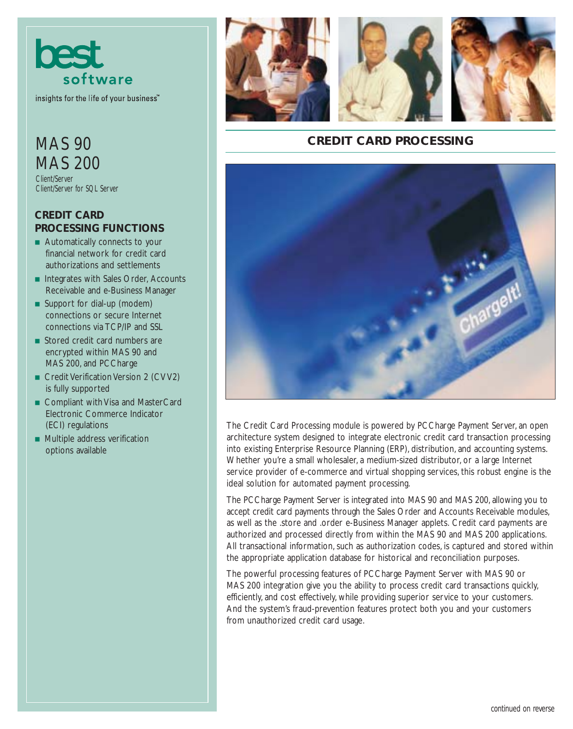

insights for the life of your business<sup>"</sup>

## MAS 90 MAS 200

Client/Server Client/Server for SQL Server

## **CREDIT CARD PROCESSING FUNCTIONS**

- Automatically connects to your financial network for credit card authorizations and settlements
- Integrates with Sales Order, Accounts Receivable and e-Business Manager
- Support for dial-up (modem) connections or secure Internet connections via TCP/IP and SSL
- Stored credit card numbers are encrypted within MAS 90 and MAS 200, and PCCharge
- Credit Verification Version 2 (CVV2) is fully supported
- Compliant with Visa and MasterCard Electronic Commerce Indicator (ECI) regulations
- Multiple address verification options available







## **CREDIT CARD PROCESSING**



The Credit Card Processing module is powered by PCCharge Payment Server, an open architecture system designed to integrate electronic credit card transaction processing into existing Enterprise Resource Planning (ERP), distribution, and accounting systems. Whether you're a small wholesaler, a medium-sized distributor, or a large Internet service provider of e-commerce and virtual shopping services, this robust engine is the ideal solution for automated payment processing.

The PCCharge Payment Server is integrated into MAS 90 and MAS 200, allowing you to accept credit card payments through the Sales Order and Accounts Receivable modules, as well as the .store and .order e-Business Manager applets. Credit card payments are authorized and processed directly from within the MAS 90 and MAS 200 applications. All transactional information, such as authorization codes, is captured and stored within the appropriate application database for historical and reconciliation purposes.

The powerful processing features of PCCharge Payment Server with MAS 90 or MAS 200 integration give you the ability to process credit card transactions quickly, efficiently, and cost effectively, while providing superior service to your customers. And the system's fraud-prevention features protect both you and your customers from unauthorized credit card usage.